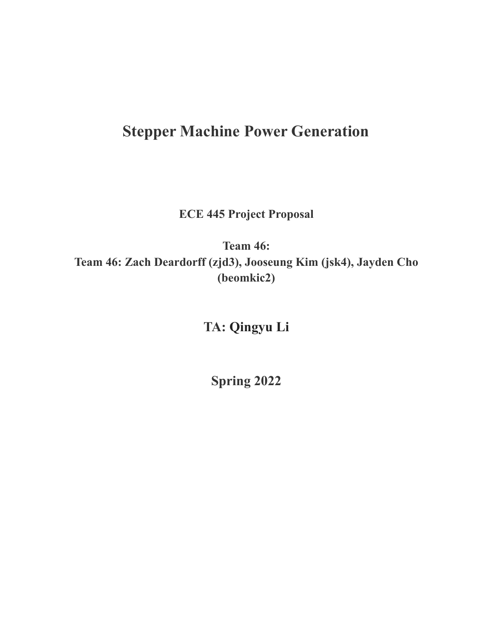# **Stepper Machine Power Generation**

**ECE 445 Project Proposal**

**Team 46: Team 46: Zach Deardorff (zjd3), Jooseung Kim (jsk4), Jayden Cho (beomkic2)**

**TA: Qingyu Li**

**Spring 2022**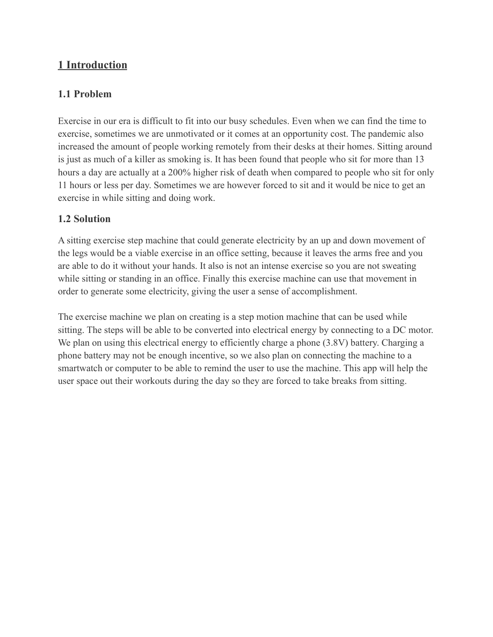# **1 Introduction**

# **1.1 Problem**

Exercise in our era is difficult to fit into our busy schedules. Even when we can find the time to exercise, sometimes we are unmotivated or it comes at an opportunity cost. The pandemic also increased the amount of people working remotely from their desks at their homes. Sitting around is just as much of a killer as smoking is. It has been found that people who sit for more than 13 hours a day are actually at a 200% higher risk of death when compared to people who sit for only 11 hours or less per day. Sometimes we are however forced to sit and it would be nice to get an exercise in while sitting and doing work.

# **1.2 Solution**

A sitting exercise step machine that could generate electricity by an up and down movement of the legs would be a viable exercise in an office setting, because it leaves the arms free and you are able to do it without your hands. It also is not an intense exercise so you are not sweating while sitting or standing in an office. Finally this exercise machine can use that movement in order to generate some electricity, giving the user a sense of accomplishment.

The exercise machine we plan on creating is a step motion machine that can be used while sitting. The steps will be able to be converted into electrical energy by connecting to a DC motor. We plan on using this electrical energy to efficiently charge a phone (3.8V) battery. Charging a phone battery may not be enough incentive, so we also plan on connecting the machine to a smartwatch or computer to be able to remind the user to use the machine. This app will help the user space out their workouts during the day so they are forced to take breaks from sitting.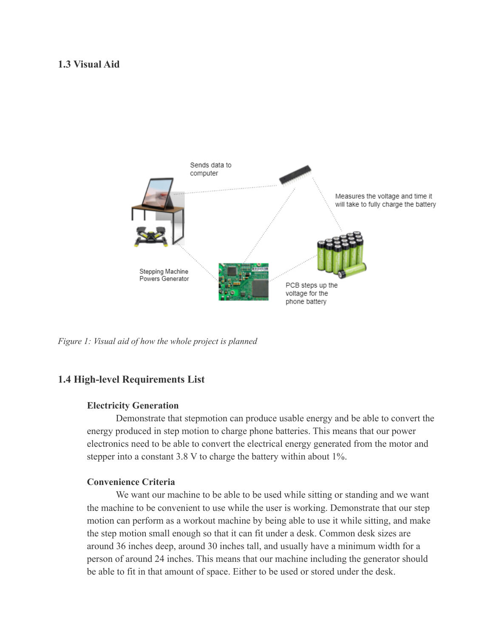## **1.3 Visual Aid**



*Figure 1: Visual aid of how the whole project is planned*

## **1.4 High-level Requirements List**

#### **Electricity Generation**

Demonstrate that stepmotion can produce usable energy and be able to convert the energy produced in step motion to charge phone batteries. This means that our power electronics need to be able to convert the electrical energy generated from the motor and stepper into a constant 3.8 V to charge the battery within about 1%.

## **Convenience Criteria**

We want our machine to be able to be used while sitting or standing and we want the machine to be convenient to use while the user is working. Demonstrate that our step motion can perform as a workout machine by being able to use it while sitting, and make the step motion small enough so that it can fit under a desk. Common desk sizes are around 36 inches deep, around 30 inches tall, and usually have a minimum width for a person of around 24 inches. This means that our machine including the generator should be able to fit in that amount of space. Either to be used or stored under the desk.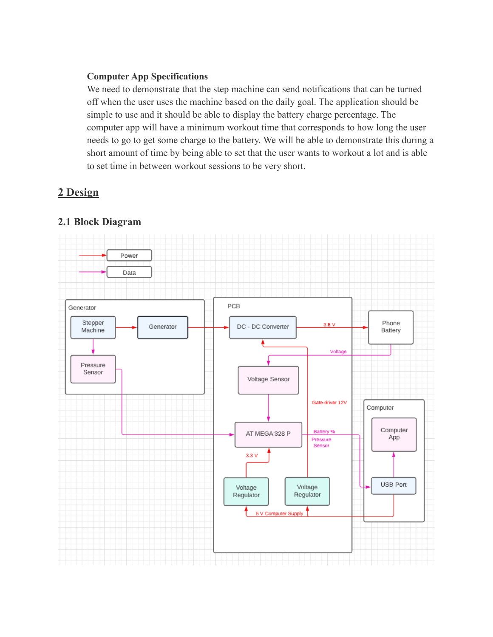## **Computer App Specifications**

We need to demonstrate that the step machine can send notifications that can be turned off when the user uses the machine based on the daily goal. The application should be simple to use and it should be able to display the battery charge percentage. The computer app will have a minimum workout time that corresponds to how long the user needs to go to get some charge to the battery. We will be able to demonstrate this during a short amount of time by being able to set that the user wants to workout a lot and is able to set time in between workout sessions to be very short.

# **2 Design**

# **2.1 Block Diagram**

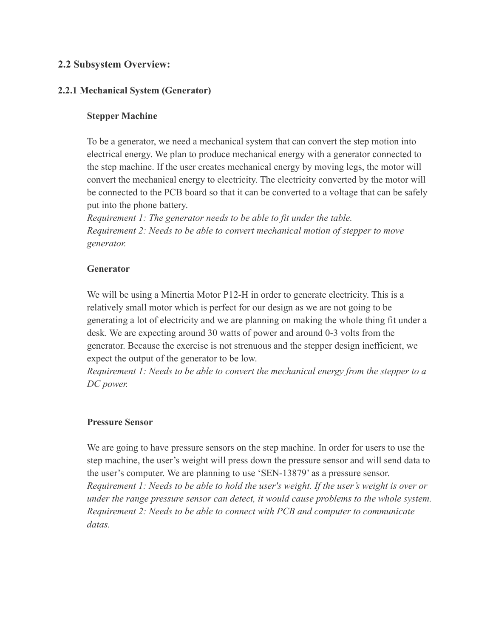## **2.2 Subsystem Overview:**

## **2.2.1 Mechanical System (Generator)**

## **Stepper Machine**

To be a generator, we need a mechanical system that can convert the step motion into electrical energy. We plan to produce mechanical energy with a generator connected to the step machine. If the user creates mechanical energy by moving legs, the motor will convert the mechanical energy to electricity. The electricity converted by the motor will be connected to the PCB board so that it can be converted to a voltage that can be safely put into the phone battery.

*Requirement 1: The generator needs to be able to fit under the table. Requirement 2: Needs to be able to convert mechanical motion of stepper to move generator.*

#### **Generator**

We will be using a Minertia Motor P12-H in order to generate electricity. This is a relatively small motor which is perfect for our design as we are not going to be generating a lot of electricity and we are planning on making the whole thing fit under a desk. We are expecting around 30 watts of power and around 0-3 volts from the generator. Because the exercise is not strenuous and the stepper design inefficient, we expect the output of the generator to be low.

*Requirement 1: Needs to be able to convert the mechanical energy from the stepper to a DC power.*

#### **Pressure Sensor**

We are going to have pressure sensors on the step machine. In order for users to use the step machine, the user's weight will press down the pressure sensor and will send data to the user's computer. We are planning to use 'SEN-13879' as a pressure sensor. *Requirement 1: Needs to be able to hold the user's weight. If the user's weight is over or under the range pressure sensor can detect, it would cause problems to the whole system. Requirement 2: Needs to be able to connect with PCB and computer to communicate datas.*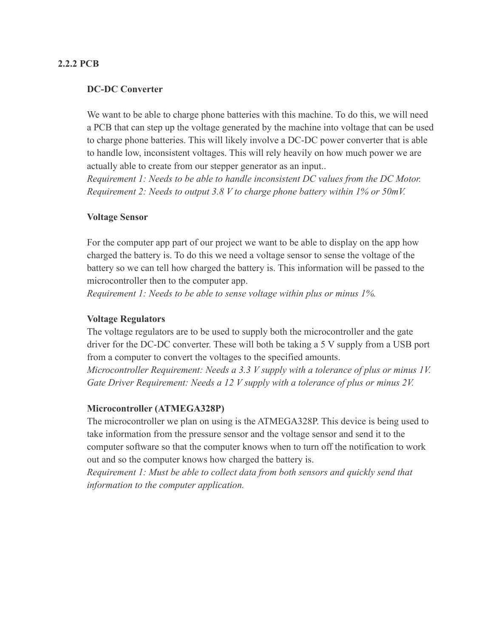#### **2.2.2 PCB**

#### **DC-DC Converter**

We want to be able to charge phone batteries with this machine. To do this, we will need a PCB that can step up the voltage generated by the machine into voltage that can be used to charge phone batteries. This will likely involve a DC-DC power converter that is able to handle low, inconsistent voltages. This will rely heavily on how much power we are actually able to create from our stepper generator as an input..

*Requirement 1: Needs to be able to handle inconsistent DC values from the DC Motor. Requirement 2: Needs to output 3.8 V to charge phone battery within 1% or 50mV.*

#### **Voltage Sensor**

For the computer app part of our project we want to be able to display on the app how charged the battery is. To do this we need a voltage sensor to sense the voltage of the battery so we can tell how charged the battery is. This information will be passed to the microcontroller then to the computer app.

*Requirement 1: Needs to be able to sense voltage within plus or minus 1%.*

#### **Voltage Regulators**

The voltage regulators are to be used to supply both the microcontroller and the gate driver for the DC-DC converter. These will both be taking a 5 V supply from a USB port from a computer to convert the voltages to the specified amounts.

*Microcontroller Requirement: Needs a 3.3 V supply with a tolerance of plus or minus 1V. Gate Driver Requirement: Needs a 12 V supply with a tolerance of plus or minus 2V.*

#### **Microcontroller (ATMEGA328P)**

The microcontroller we plan on using is the ATMEGA328P. This device is being used to take information from the pressure sensor and the voltage sensor and send it to the computer software so that the computer knows when to turn off the notification to work out and so the computer knows how charged the battery is.

*Requirement 1: Must be able to collect data from both sensors and quickly send that information to the computer application.*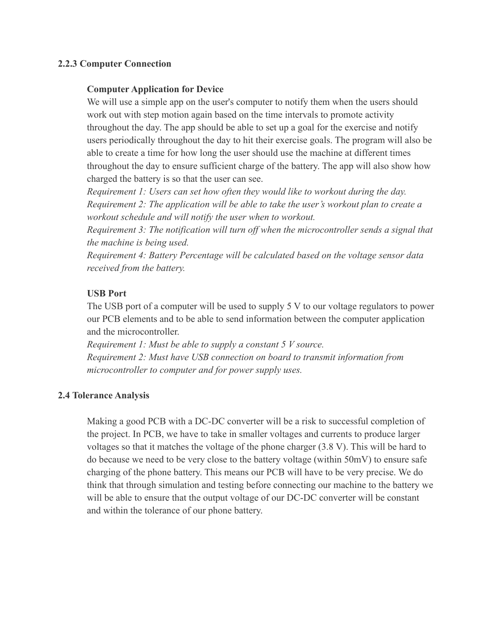## **2.2.3 Computer Connection**

#### **Computer Application for Device**

We will use a simple app on the user's computer to notify them when the users should work out with step motion again based on the time intervals to promote activity throughout the day. The app should be able to set up a goal for the exercise and notify users periodically throughout the day to hit their exercise goals. The program will also be able to create a time for how long the user should use the machine at different times throughout the day to ensure sufficient charge of the battery. The app will also show how charged the battery is so that the user can see.

*Requirement 1: Users can set how often they would like to workout during the day. Requirement 2: The application will be able to take the user's workout plan to create a workout schedule and will notify the user when to workout.*

*Requirement 3: The notification will turn off when the microcontroller sends a signal that the machine is being used.*

*Requirement 4: Battery Percentage will be calculated based on the voltage sensor data received from the battery.*

#### **USB Port**

The USB port of a computer will be used to supply 5 V to our voltage regulators to power our PCB elements and to be able to send information between the computer application and the microcontroller.

*Requirement 1: Must be able to supply a constant 5 V source. Requirement 2: Must have USB connection on board to transmit information from microcontroller to computer and for power supply uses.*

#### **2.4 Tolerance Analysis**

Making a good PCB with a DC-DC converter will be a risk to successful completion of the project. In PCB, we have to take in smaller voltages and currents to produce larger voltages so that it matches the voltage of the phone charger (3.8 V). This will be hard to do because we need to be very close to the battery voltage (within 50mV) to ensure safe charging of the phone battery. This means our PCB will have to be very precise. We do think that through simulation and testing before connecting our machine to the battery we will be able to ensure that the output voltage of our DC-DC converter will be constant and within the tolerance of our phone battery.